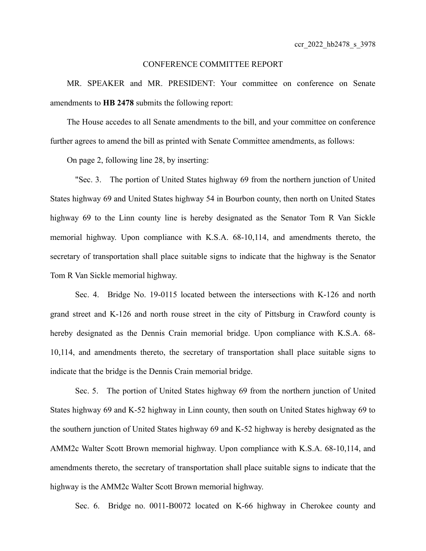## CONFERENCE COMMITTEE REPORT

MR. SPEAKER and MR. PRESIDENT: Your committee on conference on Senate amendments to **HB 2478** submits the following report:

The House accedes to all Senate amendments to the bill, and your committee on conference further agrees to amend the bill as printed with Senate Committee amendments, as follows:

On page 2, following line 28, by inserting:

"Sec. 3. The portion of United States highway 69 from the northern junction of United States highway 69 and United States highway 54 in Bourbon county, then north on United States highway 69 to the Linn county line is hereby designated as the Senator Tom R Van Sickle memorial highway. Upon compliance with K.S.A. 68-10,114, and amendments thereto, the secretary of transportation shall place suitable signs to indicate that the highway is the Senator Tom R Van Sickle memorial highway.

Sec. 4. Bridge No. 19-0115 located between the intersections with K-126 and north grand street and K-126 and north rouse street in the city of Pittsburg in Crawford county is hereby designated as the Dennis Crain memorial bridge. Upon compliance with K.S.A. 68- 10,114, and amendments thereto, the secretary of transportation shall place suitable signs to indicate that the bridge is the Dennis Crain memorial bridge.

Sec. 5. The portion of United States highway 69 from the northern junction of United States highway 69 and K-52 highway in Linn county, then south on United States highway 69 to the southern junction of United States highway 69 and K-52 highway is hereby designated as the AMM2c Walter Scott Brown memorial highway. Upon compliance with K.S.A. 68-10,114, and amendments thereto, the secretary of transportation shall place suitable signs to indicate that the highway is the AMM2c Walter Scott Brown memorial highway.

Sec. 6. Bridge no. 0011-B0072 located on K-66 highway in Cherokee county and